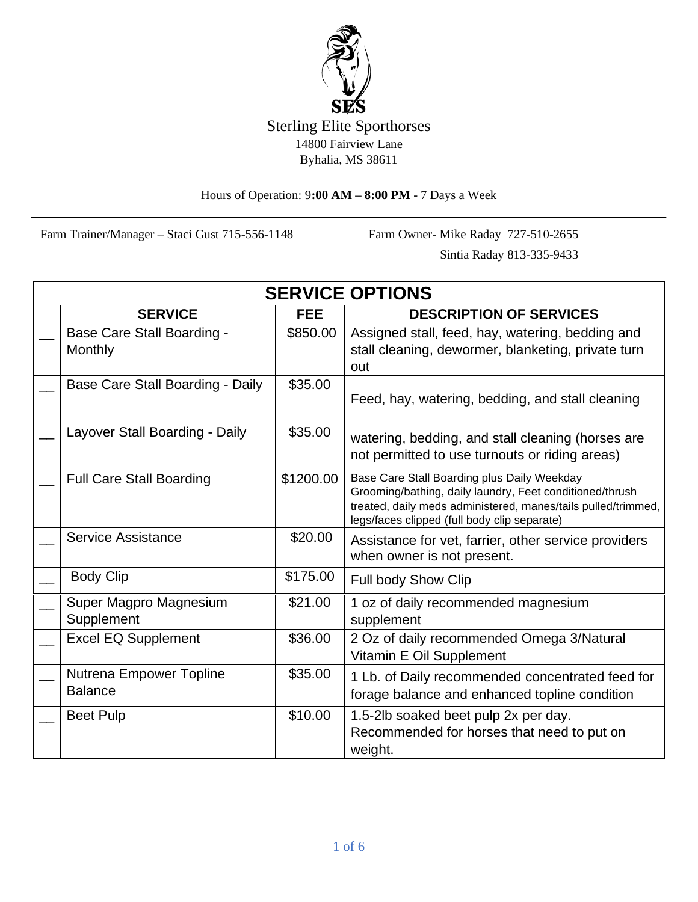

Hours of Operation: 9**:00 AM – 8:00 PM** - 7 Days a Week

Farm Trainer/Manager – Staci Gust 715-556-1148 Farm Owner- Mike Raday 727-510-2655

Sintia Raday 813-335-9433

| <b>SERVICE OPTIONS</b> |                                              |            |                                                                                                                                                                                                                          |  |  |  |
|------------------------|----------------------------------------------|------------|--------------------------------------------------------------------------------------------------------------------------------------------------------------------------------------------------------------------------|--|--|--|
|                        | <b>SERVICE</b>                               | <b>FEE</b> | <b>DESCRIPTION OF SERVICES</b>                                                                                                                                                                                           |  |  |  |
|                        | <b>Base Care Stall Boarding -</b><br>Monthly | \$850.00   | Assigned stall, feed, hay, watering, bedding and<br>stall cleaning, dewormer, blanketing, private turn<br>out                                                                                                            |  |  |  |
|                        | Base Care Stall Boarding - Daily             | \$35.00    | Feed, hay, watering, bedding, and stall cleaning                                                                                                                                                                         |  |  |  |
|                        | Layover Stall Boarding - Daily               | \$35.00    | watering, bedding, and stall cleaning (horses are<br>not permitted to use turnouts or riding areas)                                                                                                                      |  |  |  |
|                        | <b>Full Care Stall Boarding</b>              | \$1200.00  | Base Care Stall Boarding plus Daily Weekday<br>Grooming/bathing, daily laundry, Feet conditioned/thrush<br>treated, daily meds administered, manes/tails pulled/trimmed,<br>legs/faces clipped (full body clip separate) |  |  |  |
|                        | Service Assistance                           | \$20.00    | Assistance for vet, farrier, other service providers<br>when owner is not present.                                                                                                                                       |  |  |  |
|                        | <b>Body Clip</b>                             | \$175.00   | Full body Show Clip                                                                                                                                                                                                      |  |  |  |
|                        | Super Magpro Magnesium<br>Supplement         | \$21.00    | 1 oz of daily recommended magnesium<br>supplement                                                                                                                                                                        |  |  |  |
|                        | <b>Excel EQ Supplement</b>                   | \$36.00    | 2 Oz of daily recommended Omega 3/Natural<br>Vitamin E Oil Supplement                                                                                                                                                    |  |  |  |
|                        | Nutrena Empower Topline<br><b>Balance</b>    | \$35.00    | 1 Lb. of Daily recommended concentrated feed for<br>forage balance and enhanced topline condition                                                                                                                        |  |  |  |
|                        | <b>Beet Pulp</b>                             | \$10.00    | 1.5-2lb soaked beet pulp 2x per day.<br>Recommended for horses that need to put on<br>weight.                                                                                                                            |  |  |  |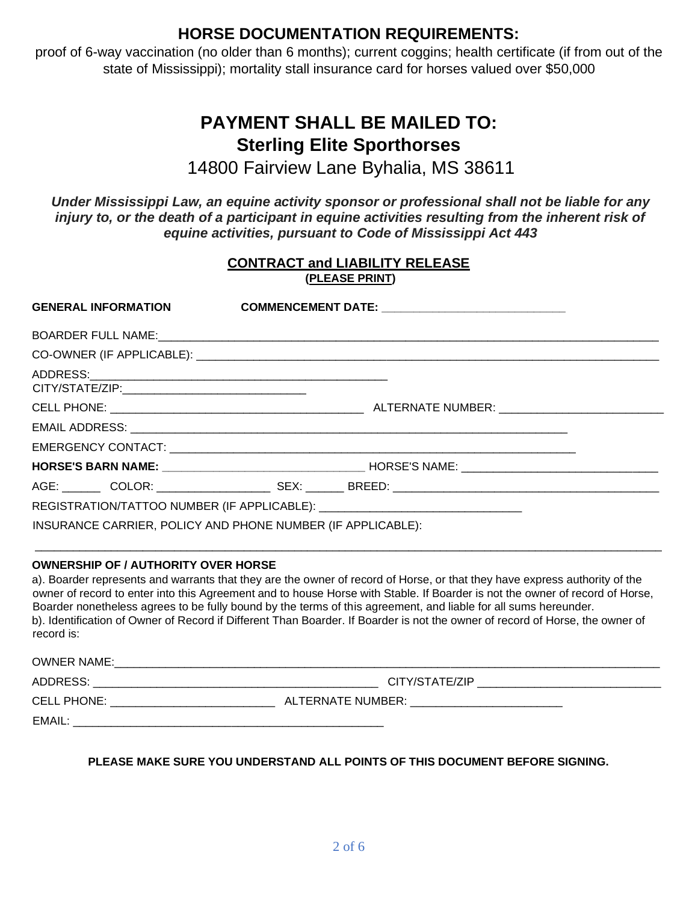## **HORSE DOCUMENTATION REQUIREMENTS:**

proof of 6-way vaccination (no older than 6 months); current coggins; health certificate (if from out of the state of Mississippi); mortality stall insurance card for horses valued over \$50,000

# **PAYMENT SHALL BE MAILED TO: Sterling Elite Sporthorses**

14800 Fairview Lane Byhalia, MS 38611

*Under Mississippi Law, an equine activity sponsor or professional shall not be liable for any injury to, or the death of a participant in equine activities resulting from the inherent risk of equine activities, pursuant to Code of Mississippi Act 443*

| <b>CONTRACT and LIABILITY RELEASE</b><br>(PLEASE PRINT)     |  |  |  |  |  |  |
|-------------------------------------------------------------|--|--|--|--|--|--|
|                                                             |  |  |  |  |  |  |
|                                                             |  |  |  |  |  |  |
|                                                             |  |  |  |  |  |  |
|                                                             |  |  |  |  |  |  |
|                                                             |  |  |  |  |  |  |
|                                                             |  |  |  |  |  |  |
|                                                             |  |  |  |  |  |  |
|                                                             |  |  |  |  |  |  |
|                                                             |  |  |  |  |  |  |
|                                                             |  |  |  |  |  |  |
| INSURANCE CARRIER, POLICY AND PHONE NUMBER (IF APPLICABLE): |  |  |  |  |  |  |

#### **OWNERSHIP OF / AUTHORITY OVER HORSE**

a). Boarder represents and warrants that they are the owner of record of Horse, or that they have express authority of the owner of record to enter into this Agreement and to house Horse with Stable. If Boarder is not the owner of record of Horse, Boarder nonetheless agrees to be fully bound by the terms of this agreement, and liable for all sums hereunder. b). Identification of Owner of Record if Different Than Boarder. If Boarder is not the owner of record of Horse, the owner of record is:

OWNER NAME:\_\_\_\_\_\_\_\_\_\_\_\_\_\_\_\_\_\_\_\_\_\_\_\_\_\_\_\_\_\_\_\_\_\_\_\_\_\_\_\_\_\_\_\_\_\_\_\_\_\_\_\_\_\_\_\_\_\_\_\_\_\_\_\_\_\_\_\_\_\_\_\_\_\_\_\_\_\_\_\_\_\_\_\_\_\_

ADDRESS: \_\_\_\_\_\_\_\_\_\_\_\_\_\_\_\_\_\_\_\_\_\_\_\_\_\_\_\_\_\_\_\_\_\_\_\_\_\_\_\_\_\_\_\_\_ CITY/STATE/ZIP \_\_\_\_\_\_\_\_\_\_\_\_\_\_\_\_\_\_\_\_\_\_\_\_\_\_\_\_\_

CELL PHONE: \_\_\_\_\_\_\_\_\_\_\_\_\_\_\_\_\_\_\_\_\_\_\_\_\_\_ ALTERNATE NUMBER: \_\_\_\_\_\_\_\_\_\_\_\_\_\_\_\_\_\_\_\_\_\_\_\_

EMAIL: \_\_\_\_\_\_\_\_\_\_\_\_\_\_\_\_\_\_\_\_\_\_\_\_\_\_\_\_\_\_\_\_\_\_\_\_\_\_\_\_\_\_\_\_\_\_\_\_\_

**PLEASE MAKE SURE YOU UNDERSTAND ALL POINTS OF THIS DOCUMENT BEFORE SIGNING.**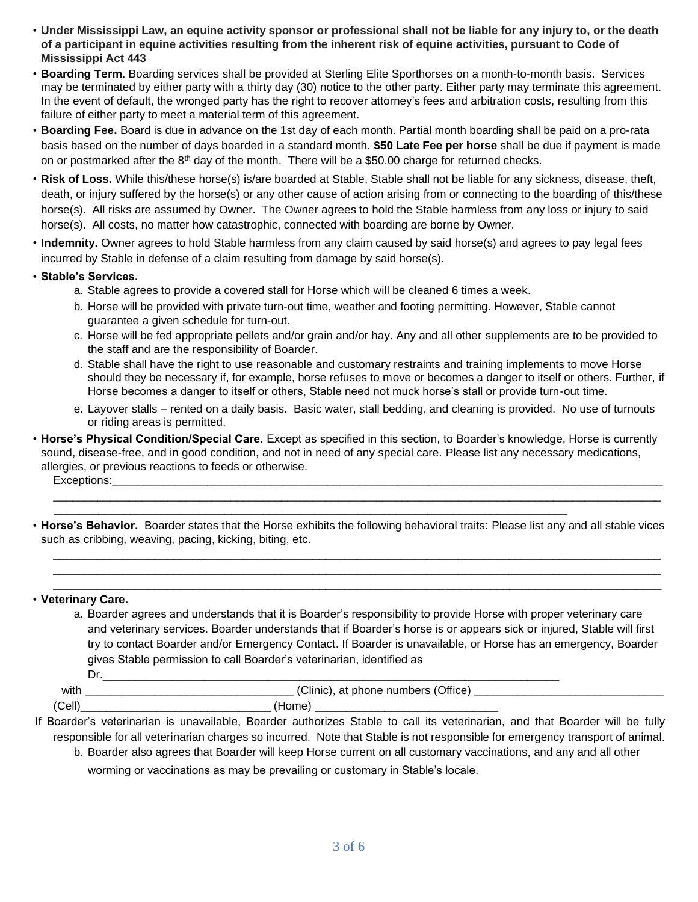- **Under Mississippi Law, an equine activity sponsor or professional shall not be liable for any injury to, or the death of a participant in equine activities resulting from the inherent risk of equine activities, pursuant to Code of Mississippi Act 443**
- **Boarding Term.** Boarding services shall be provided at Sterling Elite Sporthorses on a month-to-month basis. Services may be terminated by either party with a thirty day (30) notice to the other party. Either party may terminate this agreement. In the event of default, the wronged party has the right to recover attorney's fees and arbitration costs, resulting from this failure of either party to meet a material term of this agreement.
- **Boarding Fee.** Board is due in advance on the 1st day of each month. Partial month boarding shall be paid on a pro-rata basis based on the number of days boarded in a standard month. **\$50 Late Fee per horse** shall be due if payment is made on or postmarked after the  $8<sup>th</sup>$  day of the month. There will be a \$50.00 charge for returned checks.
- **Risk of Loss.** While this/these horse(s) is/are boarded at Stable, Stable shall not be liable for any sickness, disease, theft, death, or injury suffered by the horse(s) or any other cause of action arising from or connecting to the boarding of this/these horse(s). All risks are assumed by Owner. The Owner agrees to hold the Stable harmless from any loss or injury to said horse(s). All costs, no matter how catastrophic, connected with boarding are borne by Owner.
- **Indemnity.** Owner agrees to hold Stable harmless from any claim caused by said horse(s) and agrees to pay legal fees incurred by Stable in defense of a claim resulting from damage by said horse(s).
- **Stable's Services.** 
	- a. Stable agrees to provide a covered stall for Horse which will be cleaned 6 times a week.
	- b. Horse will be provided with private turn-out time, weather and footing permitting. However, Stable cannot guarantee a given schedule for turn-out.
	- c. Horse will be fed appropriate pellets and/or grain and/or hay. Any and all other supplements are to be provided to the staff and are the responsibility of Boarder.
	- d. Stable shall have the right to use reasonable and customary restraints and training implements to move Horse should they be necessary if, for example, horse refuses to move or becomes a danger to itself or others. Further, if Horse becomes a danger to itself or others, Stable need not muck horse's stall or provide turn-out time.
	- e. Layover stalls rented on a daily basis. Basic water, stall bedding, and cleaning is provided. No use of turnouts or riding areas is permitted.
- **Horse's Physical Condition/Special Care.** Except as specified in this section, to Boarder's knowledge, Horse is currently sound, disease-free, and in good condition, and not in need of any special care. Please list any necessary medications, allergies, or previous reactions to feeds or otherwise.

Exceptions:

• **Horse's Behavior.** Boarder states that the Horse exhibits the following behavioral traits: Please list any and all stable vices such as cribbing, weaving, pacing, kicking, biting, etc.

\_\_\_\_\_\_\_\_\_\_\_\_\_\_\_\_\_\_\_\_\_\_\_\_\_\_\_\_\_\_\_\_\_\_\_\_\_\_\_\_\_\_\_\_\_\_\_\_\_\_\_\_\_\_\_\_\_\_\_\_\_\_\_\_\_\_\_\_\_\_\_\_\_\_\_\_\_\_\_\_\_

\_\_\_\_\_\_\_\_\_\_\_\_\_\_\_\_\_\_\_\_\_\_\_\_\_\_\_\_\_\_\_\_\_\_\_\_\_\_\_\_\_\_\_\_\_\_\_\_\_\_\_\_\_\_\_\_\_\_\_\_\_\_\_\_\_\_\_\_\_\_\_\_\_\_\_\_\_\_\_\_\_\_\_\_\_\_\_\_\_\_\_\_\_\_\_\_

 $\_$  ,  $\_$  ,  $\_$  ,  $\_$  ,  $\_$  ,  $\_$  ,  $\_$  ,  $\_$  ,  $\_$  ,  $\_$  ,  $\_$  ,  $\_$  ,  $\_$  ,  $\_$  ,  $\_$  ,  $\_$  ,  $\_$  ,  $\_$  ,  $\_$  ,  $\_$  ,  $\_$  ,  $\_$  ,  $\_$  ,  $\_$  ,  $\_$  ,  $\_$  ,  $\_$  ,  $\_$  ,  $\_$  ,  $\_$  ,  $\_$  ,  $\_$  ,  $\_$  ,  $\_$  ,  $\_$  ,  $\_$  ,  $\_$  ,  $\_$  ,  $\_$  ,  $\_$  ,  $\_$  ,  $\_$  ,  $\_$  ,  $\_$  ,  $\_$  ,  $\_$  ,  $\_$  ,  $\_$  ,  $\_$  ,  $\_$  ,  $\_$  ,  $\_$  ,  $\_$  ,  $\_$  ,  $\_$  ,  $\_$  ,  $\_$  ,  $\_$  ,  $\_$  ,  $\_$  ,  $\_$  ,  $\_$  ,  $\_$  ,  $\_$  ,  $\_$  ,  $\_$  ,  $\_$  ,  $\_$  ,  $\_$  ,  $\_$  ,  $\_$  ,  $\_$  ,  $\_$  ,  $\_$  , \_\_\_\_\_\_\_\_\_\_\_\_\_\_\_\_\_\_\_\_\_\_\_\_\_\_\_\_\_\_\_\_\_\_\_\_\_\_\_\_\_\_\_\_\_\_\_\_\_\_\_\_\_\_\_\_\_\_\_\_\_\_\_\_\_\_\_\_\_\_\_\_\_\_\_\_\_\_\_\_\_\_\_\_\_\_\_\_\_\_\_\_\_\_\_\_

#### • **Veterinary Care.**

a. Boarder agrees and understands that it is Boarder's responsibility to provide Horse with proper veterinary care and veterinary services. Boarder understands that if Boarder's horse is or appears sick or injured, Stable will first try to contact Boarder and/or Emergency Contact. If Boarder is unavailable, or Horse has an emergency, Boarder gives Stable permission to call Boarder's veterinarian, identified as Dr.\_\_\_\_\_\_\_\_\_\_\_\_\_\_\_\_\_\_\_\_\_\_\_\_\_\_\_\_\_\_\_\_\_\_\_\_\_\_\_\_\_\_\_\_\_\_\_\_\_\_\_\_\_\_\_\_\_\_\_\_\_\_\_\_\_\_\_\_\_\_\_\_

with \_\_\_\_\_\_\_\_\_\_\_\_\_\_\_\_\_\_\_\_\_\_\_\_\_\_\_\_\_\_\_\_\_ (Clinic), at phone numbers (Office) \_\_\_\_\_\_\_\_\_\_\_\_\_\_\_\_\_\_\_\_\_\_\_\_\_\_\_\_\_\_

(Cell)\_\_\_\_\_\_\_\_\_\_\_\_\_\_\_\_\_\_\_\_\_\_\_\_\_\_\_\_\_\_ (Home) \_\_\_\_\_\_\_\_\_\_\_\_\_\_\_\_\_\_\_\_\_\_\_\_\_\_\_\_\_

- If Boarder's veterinarian is unavailable, Boarder authorizes Stable to call its veterinarian, and that Boarder will be fully responsible for all veterinarian charges so incurred. Note that Stable is not responsible for emergency transport of animal.
	- b. Boarder also agrees that Boarder will keep Horse current on all customary vaccinations, and any and all other worming or vaccinations as may be prevailing or customary in Stable's locale.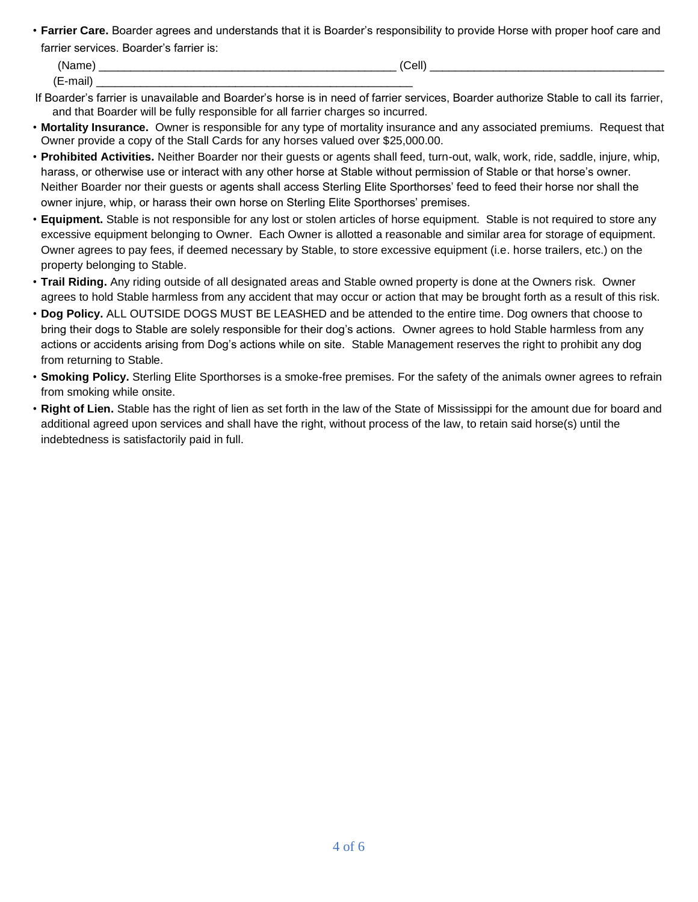• **Farrier Care.** Boarder agrees and understands that it is Boarder's responsibility to provide Horse with proper hoof care and farrier services. Boarder's farrier is:

| - ⁄Nlom⊾                                  | ___                                    | (Cell) | _______________<br>_________ |
|-------------------------------------------|----------------------------------------|--------|------------------------------|
| $\sqrt{2}$<br><br>$- - -$<br>⁄ ⊫<br>-Hall | _______<br>________<br>______<br>_____ |        |                              |

- If Boarder's farrier is unavailable and Boarder's horse is in need of farrier services, Boarder authorize Stable to call its farrier, and that Boarder will be fully responsible for all farrier charges so incurred.
- **Mortality Insurance.** Owner is responsible for any type of mortality insurance and any associated premiums. Request that Owner provide a copy of the Stall Cards for any horses valued over \$25,000.00.
- **Prohibited Activities.** Neither Boarder nor their guests or agents shall feed, turn-out, walk, work, ride, saddle, injure, whip, harass, or otherwise use or interact with any other horse at Stable without permission of Stable or that horse's owner. Neither Boarder nor their guests or agents shall access Sterling Elite Sporthorses' feed to feed their horse nor shall the owner injure, whip, or harass their own horse on Sterling Elite Sporthorses' premises.
- **Equipment.** Stable is not responsible for any lost or stolen articles of horse equipment. Stable is not required to store any excessive equipment belonging to Owner. Each Owner is allotted a reasonable and similar area for storage of equipment. Owner agrees to pay fees, if deemed necessary by Stable, to store excessive equipment (i.e. horse trailers, etc.) on the property belonging to Stable.
- **Trail Riding.** Any riding outside of all designated areas and Stable owned property is done at the Owners risk. Owner agrees to hold Stable harmless from any accident that may occur or action that may be brought forth as a result of this risk.
- **Dog Policy.** ALL OUTSIDE DOGS MUST BE LEASHED and be attended to the entire time. Dog owners that choose to bring their dogs to Stable are solely responsible for their dog's actions. Owner agrees to hold Stable harmless from any actions or accidents arising from Dog's actions while on site. Stable Management reserves the right to prohibit any dog from returning to Stable.
- **Smoking Policy.** Sterling Elite Sporthorses is a smoke-free premises. For the safety of the animals owner agrees to refrain from smoking while onsite.
- **Right of Lien.** Stable has the right of lien as set forth in the law of the State of Mississippi for the amount due for board and additional agreed upon services and shall have the right, without process of the law, to retain said horse(s) until the indebtedness is satisfactorily paid in full.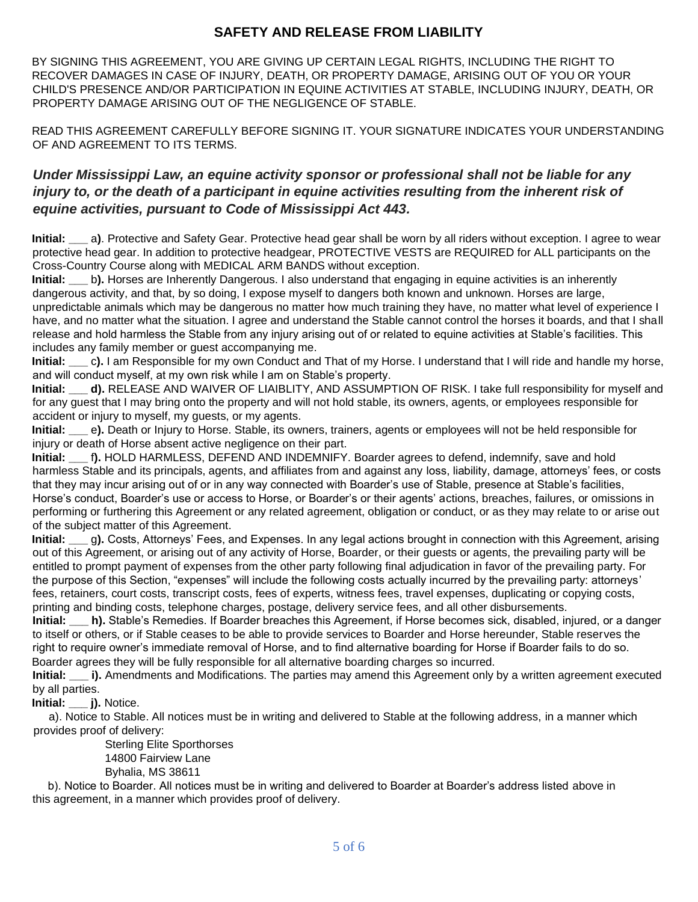## **SAFETY AND RELEASE FROM LIABILITY**

BY SIGNING THIS AGREEMENT, YOU ARE GIVING UP CERTAIN LEGAL RIGHTS, INCLUDING THE RIGHT TO RECOVER DAMAGES IN CASE OF INJURY, DEATH, OR PROPERTY DAMAGE, ARISING OUT OF YOU OR YOUR CHILD'S PRESENCE AND/OR PARTICIPATION IN EQUINE ACTIVITIES AT STABLE, INCLUDING INJURY, DEATH, OR PROPERTY DAMAGE ARISING OUT OF THE NEGLIGENCE OF STABLE.

READ THIS AGREEMENT CAREFULLY BEFORE SIGNING IT. YOUR SIGNATURE INDICATES YOUR UNDERSTANDING OF AND AGREEMENT TO ITS TERMS.

### *Under Mississippi Law, an equine activity sponsor or professional shall not be liable for any injury to, or the death of a participant in equine activities resulting from the inherent risk of equine activities, pursuant to Code of Mississippi Act 443.*

**Initial: \_\_\_** a**)**. Protective and Safety Gear. Protective head gear shall be worn by all riders without exception. I agree to wear protective head gear. In addition to protective headgear, PROTECTIVE VESTS are REQUIRED for ALL participants on the Cross-Country Course along with MEDICAL ARM BANDS without exception.

**Initial:** b). Horses are Inherently Dangerous. I also understand that engaging in equine activities is an inherently dangerous activity, and that, by so doing, I expose myself to dangers both known and unknown. Horses are large, unpredictable animals which may be dangerous no matter how much training they have, no matter what level of experience I have, and no matter what the situation. I agree and understand the Stable cannot control the horses it boards, and that I shall release and hold harmless the Stable from any injury arising out of or related to equine activities at Stable's facilities. This includes any family member or guest accompanying me.

**Initial: \_\_\_** c**).** I am Responsible for my own Conduct and That of my Horse. I understand that I will ride and handle my horse, and will conduct myself, at my own risk while I am on Stable's property.

**Initial: \_\_\_ d).** RELEASE AND WAIVER OF LIAIBLITY, AND ASSUMPTION OF RISK. I take full responsibility for myself and for any guest that I may bring onto the property and will not hold stable, its owners, agents, or employees responsible for accident or injury to myself, my guests, or my agents.

**Initial: \_\_\_** e**).** Death or Injury to Horse. Stable, its owners, trainers, agents or employees will not be held responsible for injury or death of Horse absent active negligence on their part.

**Initial: \_\_\_** f**).** HOLD HARMLESS, DEFEND AND INDEMNIFY. Boarder agrees to defend, indemnify, save and hold harmless Stable and its principals, agents, and affiliates from and against any loss, liability, damage, attorneys' fees, or costs that they may incur arising out of or in any way connected with Boarder's use of Stable, presence at Stable's facilities, Horse's conduct, Boarder's use or access to Horse, or Boarder's or their agents' actions, breaches, failures, or omissions in performing or furthering this Agreement or any related agreement, obligation or conduct, or as they may relate to or arise out of the subject matter of this Agreement.

**Initial: \_\_\_** g**).** Costs, Attorneys' Fees, and Expenses. In any legal actions brought in connection with this Agreement, arising out of this Agreement, or arising out of any activity of Horse, Boarder, or their guests or agents, the prevailing party will be entitled to prompt payment of expenses from the other party following final adjudication in favor of the prevailing party. For the purpose of this Section, "expenses" will include the following costs actually incurred by the prevailing party: attorneys' fees, retainers, court costs, transcript costs, fees of experts, witness fees, travel expenses, duplicating or copying costs, printing and binding costs, telephone charges, postage, delivery service fees, and all other disbursements.

**Initial: \_\_\_ h).** Stable's Remedies. If Boarder breaches this Agreement, if Horse becomes sick, disabled, injured, or a danger to itself or others, or if Stable ceases to be able to provide services to Boarder and Horse hereunder, Stable reserves the right to require owner's immediate removal of Horse, and to find alternative boarding for Horse if Boarder fails to do so. Boarder agrees they will be fully responsible for all alternative boarding charges so incurred.

**Initial: i).** Amendments and Modifications. The parties may amend this Agreement only by a written agreement executed by all parties.

**Initial: \_\_\_ j).** Notice.

 a). Notice to Stable. All notices must be in writing and delivered to Stable at the following address, in a manner which provides proof of delivery:

> Sterling Elite Sporthorses 14800 Fairview Lane Byhalia, MS 38611

 b). Notice to Boarder. All notices must be in writing and delivered to Boarder at Boarder's address listed above in this agreement, in a manner which provides proof of delivery.